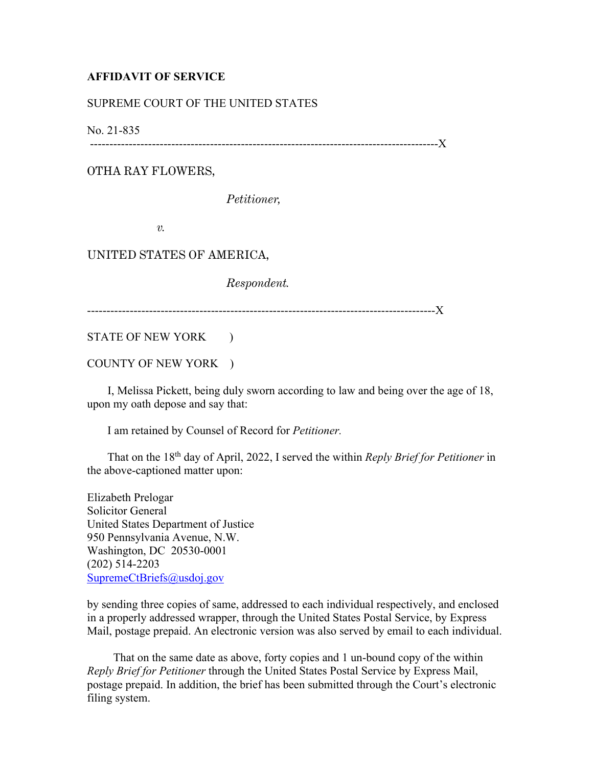## **AFFIDAVIT OF SERVICE**

## SUPREME COURT OF THE UNITED STATES

No. 21-835

------------------------------------------------------------------------------------------X

OTHA RAY FLOWERS,

*Petitioner,* 

*v.* 

UNITED STATES OF AMERICA,

*Respondent.*

------------------------------------------------------------------------------------------X

STATE OF NEW YORK )

COUNTY OF NEW YORK )

 I, Melissa Pickett, being duly sworn according to law and being over the age of 18, upon my oath depose and say that:

I am retained by Counsel of Record for *Petitioner.*

 That on the 18th day of April, 2022, I served the within *Reply Brief for Petitioner* in the above-captioned matter upon:

Elizabeth Prelogar Solicitor General United States Department of Justice 950 Pennsylvania Avenue, N.W. Washington, DC 20530-0001 (202) 514-2203 SupremeCtBriefs@usdoj.gov

by sending three copies of same, addressed to each individual respectively, and enclosed in a properly addressed wrapper, through the United States Postal Service, by Express Mail, postage prepaid. An electronic version was also served by email to each individual.

 That on the same date as above, forty copies and 1 un-bound copy of the within *Reply Brief for Petitioner* through the United States Postal Service by Express Mail, postage prepaid. In addition, the brief has been submitted through the Court's electronic filing system.